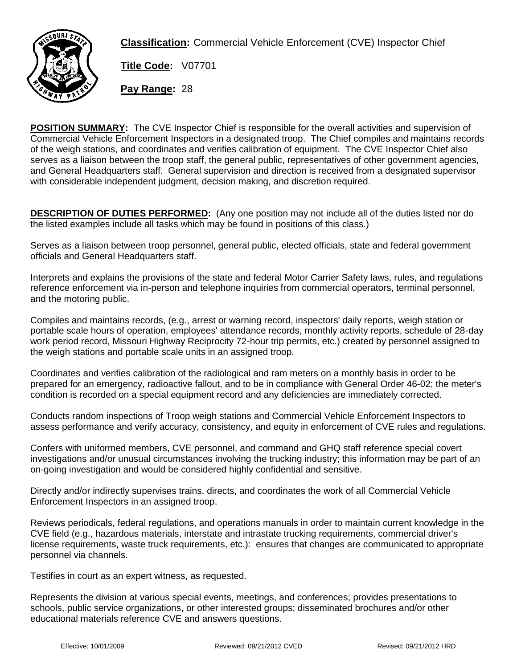

**Classification:** Commercial Vehicle Enforcement (CVE) Inspector Chief

**Title Code:** V07701

**Pay Range:** 28

**POSITION SUMMARY:** The CVE Inspector Chief is responsible for the overall activities and supervision of Commercial Vehicle Enforcement Inspectors in a designated troop. The Chief compiles and maintains records of the weigh stations, and coordinates and verifies calibration of equipment. The CVE Inspector Chief also serves as a liaison between the troop staff, the general public, representatives of other government agencies, and General Headquarters staff. General supervision and direction is received from a designated supervisor with considerable independent judgment, decision making, and discretion required.

**DESCRIPTION OF DUTIES PERFORMED:** (Any one position may not include all of the duties listed nor do the listed examples include all tasks which may be found in positions of this class.)

Serves as a liaison between troop personnel, general public, elected officials, state and federal government officials and General Headquarters staff.

Interprets and explains the provisions of the state and federal Motor Carrier Safety laws, rules, and regulations reference enforcement via in-person and telephone inquiries from commercial operators, terminal personnel, and the motoring public.

Compiles and maintains records, (e.g., arrest or warning record, inspectors' daily reports, weigh station or portable scale hours of operation, employees' attendance records, monthly activity reports, schedule of 28-day work period record, Missouri Highway Reciprocity 72-hour trip permits, etc.) created by personnel assigned to the weigh stations and portable scale units in an assigned troop.

Coordinates and verifies calibration of the radiological and ram meters on a monthly basis in order to be prepared for an emergency, radioactive fallout, and to be in compliance with General Order 46-02; the meter's condition is recorded on a special equipment record and any deficiencies are immediately corrected.

Conducts random inspections of Troop weigh stations and Commercial Vehicle Enforcement Inspectors to assess performance and verify accuracy, consistency, and equity in enforcement of CVE rules and regulations.

Confers with uniformed members, CVE personnel, and command and GHQ staff reference special covert investigations and/or unusual circumstances involving the trucking industry; this information may be part of an on-going investigation and would be considered highly confidential and sensitive.

Directly and/or indirectly supervises trains, directs, and coordinates the work of all Commercial Vehicle Enforcement Inspectors in an assigned troop.

Reviews periodicals, federal regulations, and operations manuals in order to maintain current knowledge in the CVE field (e.g., hazardous materials, interstate and intrastate trucking requirements, commercial driver's license requirements, waste truck requirements, etc.): ensures that changes are communicated to appropriate personnel via channels.

Testifies in court as an expert witness, as requested.

Represents the division at various special events, meetings, and conferences; provides presentations to schools, public service organizations, or other interested groups; disseminated brochures and/or other educational materials reference CVE and answers questions.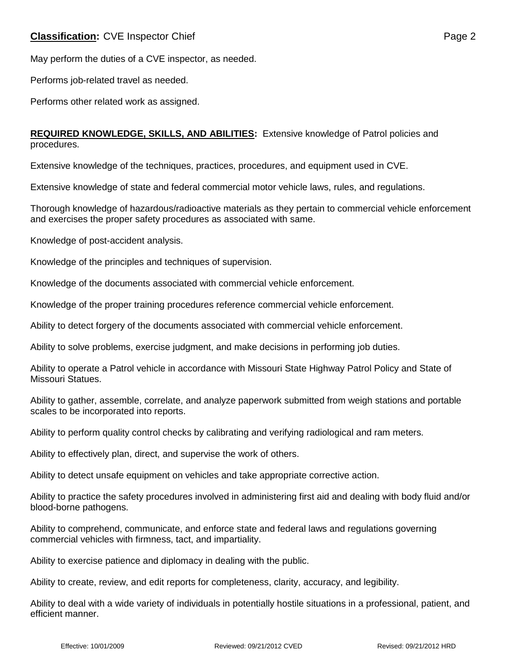## **Classification:** CVE Inspector Chief **Page 2 Page 2**

May perform the duties of a CVE inspector, as needed.

Performs job-related travel as needed.

Performs other related work as assigned.

### **REQUIRED KNOWLEDGE, SKILLS, AND ABILITIES:** Extensive knowledge of Patrol policies and procedures.

Extensive knowledge of the techniques, practices, procedures, and equipment used in CVE.

Extensive knowledge of state and federal commercial motor vehicle laws, rules, and regulations.

Thorough knowledge of hazardous/radioactive materials as they pertain to commercial vehicle enforcement and exercises the proper safety procedures as associated with same.

Knowledge of post-accident analysis.

Knowledge of the principles and techniques of supervision.

Knowledge of the documents associated with commercial vehicle enforcement.

Knowledge of the proper training procedures reference commercial vehicle enforcement.

Ability to detect forgery of the documents associated with commercial vehicle enforcement.

Ability to solve problems, exercise judgment, and make decisions in performing job duties.

Ability to operate a Patrol vehicle in accordance with Missouri State Highway Patrol Policy and State of Missouri Statues.

Ability to gather, assemble, correlate, and analyze paperwork submitted from weigh stations and portable scales to be incorporated into reports.

Ability to perform quality control checks by calibrating and verifying radiological and ram meters.

Ability to effectively plan, direct, and supervise the work of others.

Ability to detect unsafe equipment on vehicles and take appropriate corrective action.

Ability to practice the safety procedures involved in administering first aid and dealing with body fluid and/or blood-borne pathogens.

Ability to comprehend, communicate, and enforce state and federal laws and regulations governing commercial vehicles with firmness, tact, and impartiality.

Ability to exercise patience and diplomacy in dealing with the public.

Ability to create, review, and edit reports for completeness, clarity, accuracy, and legibility.

Ability to deal with a wide variety of individuals in potentially hostile situations in a professional, patient, and efficient manner.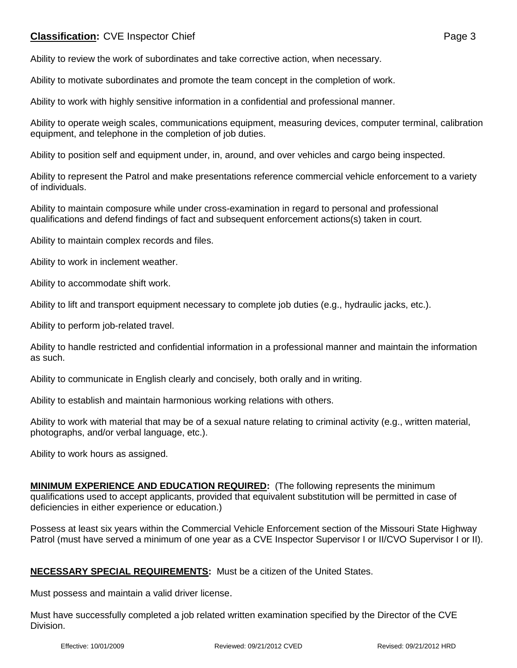## **Classification:** CVE Inspector Chief **Page 3 Page 3**

Ability to motivate subordinates and promote the team concept in the completion of work.

Ability to work with highly sensitive information in a confidential and professional manner.

Ability to operate weigh scales, communications equipment, measuring devices, computer terminal, calibration equipment, and telephone in the completion of job duties.

Ability to position self and equipment under, in, around, and over vehicles and cargo being inspected.

Ability to represent the Patrol and make presentations reference commercial vehicle enforcement to a variety of individuals.

Ability to maintain composure while under cross-examination in regard to personal and professional qualifications and defend findings of fact and subsequent enforcement actions(s) taken in court.

Ability to maintain complex records and files.

Ability to work in inclement weather.

Ability to accommodate shift work.

Ability to lift and transport equipment necessary to complete job duties (e.g., hydraulic jacks, etc.).

Ability to perform job-related travel.

Ability to handle restricted and confidential information in a professional manner and maintain the information as such.

Ability to communicate in English clearly and concisely, both orally and in writing.

Ability to establish and maintain harmonious working relations with others.

Ability to work with material that may be of a sexual nature relating to criminal activity (e.g., written material, photographs, and/or verbal language, etc.).

Ability to work hours as assigned.

**MINIMUM EXPERIENCE AND EDUCATION REQUIRED:** (The following represents the minimum qualifications used to accept applicants, provided that equivalent substitution will be permitted in case of deficiencies in either experience or education.)

Possess at least six years within the Commercial Vehicle Enforcement section of the Missouri State Highway Patrol (must have served a minimum of one year as a CVE Inspector Supervisor I or II/CVO Supervisor I or II).

#### **NECESSARY SPECIAL REQUIREMENTS:** Must be a citizen of the United States.

Must possess and maintain a valid driver license.

Must have successfully completed a job related written examination specified by the Director of the CVE Division.